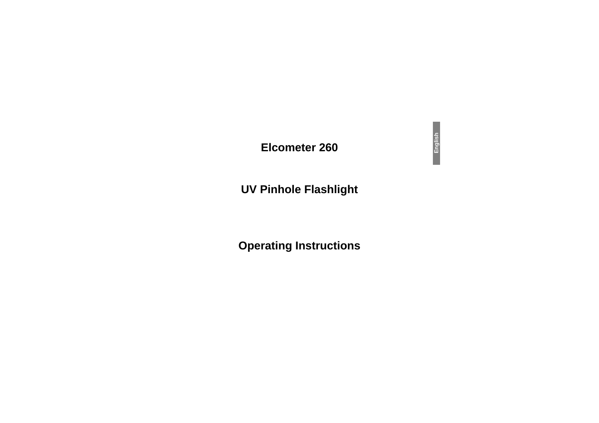## **Elcometer 260**

## **UV Pinhole Flashlight**

# **Operating Instructions**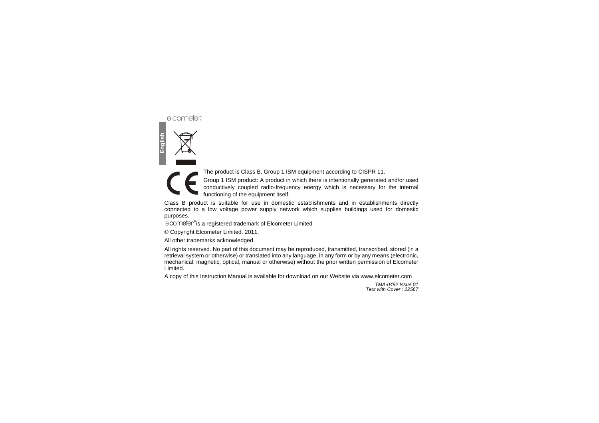The product is Class B, Group 1 ISM equipment according to CISPR 11.

Group 1 ISM product: A product in which there is intentionally generated and/or used conductively coupled radio-frequency energy which is necessary for the internal functioning of the equipment itself.

Class B product is suitable for use in domestic establishments and in establishments directly connected to a low voltage power supply network which supplies buildings used for domestic purposes.

elcometer<sup>®</sup> is a registered trademark of Elcometer Limited

© Copyright Elcometer Limited. 2011.

All other trademarks acknowledged.

All rights reserved. No part of this document may be reproduced, transmitted, transcribed, stored (in a retrieval system or otherwise) or translated into any language, in any form or by any means (electronic, mechanical, magnetic, optical, manual or otherwise) without the prior written permission of Elcometer Limited.

A copy of this Instruction Manual is available for download on our Website via www.elcometer.com

*TMA-0492 Issue 01Text with Cover : 22567*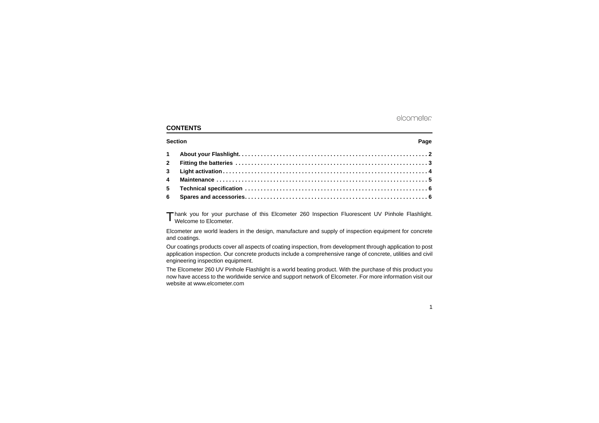## **CONTENTS**

## **SectionPage** 2012 12:00:00 to 2012 12:00:00 to 2012 12:00:00 to 2012 12:00:00 to 2012 12:00:00 to 2012 12:00:00 to 2012 12:00:00 to 2012 12:00:00 to 2012 12:00:00 to 2012 12:00:00 to 2012 12:00:00 to 2012 12:00:00 to 2012 12:00: **1 About your Flashlight. . . . . . . . . . . . . . . . . . . . . . . . . . . . . . . . . . . . . . . . . . . . . . . . . . . . . . . . . . . . 2 2 Fitting the batteries . . . . . . . . . . . . . . . . . . . . . . . . . . . . . . . . . . . . . . . . . . . . . . . . . . . . . . . . . . . . . 3 3 Light activation . . . . . . . . . . . . . . . . . . . . . . . . . . . . . . . . . . . . . . . . . . . . . . . . . . . . . . . . . . . . . . . . . 4 4 Maintenance . . . . . . . . . . . . . . . . . . . . . . . . . . . . . . . . . . . . . . . . . . . . . . . . . . . . . . . . . . . . . . . . . . . 55 Technical specification . . . . . . . . . . . . . . . . . . . . . . . . . . . . . . . . . . . . . . . . . . . . . . . . . . . . . . . . . . 6**

**6 Spares and accessories. . . . . . . . . . . . . . . . . . . . . . . . . . . . . . . . . . . . . . . . . . . . . . . . . . . . . . . . . . 6**

Thank you for your purchase of this Elcometer 260 Inspection Fluorescent UV Pinhole Flashlight.<br>Welcome to Elcometer Welcome to Elcometer.

Elcometer are world leaders in the design, manufacture and supply of inspection equipment for concrete and coatings.

Our coatings products cover all aspects of coating inspection, from development through application to post application inspection. Our concrete products include a comprehensive range of concrete, utilities and civil engineering inspection equipment.

The Elcometer 260 UV Pinhole Flashlight is a world beating product. With the purchase of this product you now have access to the worldwide service and support network of Elcometer. For more information visit our website at www.elcometer.com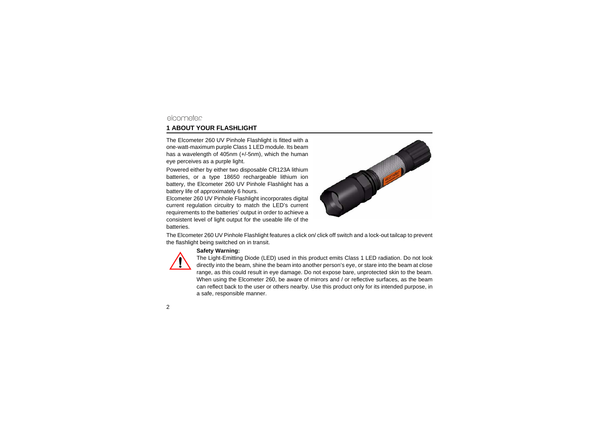## **1 ABOUT YOUR FLASHLIGHT**

The Elcometer 260 UV Pinhole Flashlight is fitted with a one-watt-maximum purple Class 1 LED module. Its beam has a wavelength of 405nm (+/-5nm), which the human eye perceives as a purple light.

Powered either by either two disposable CR123A lithium batteries, or a type 18650 rechargeable lithium ion battery, the Elcometer 260 UV Pinhole Flashlight has a battery life of approximately 6 hours.

Elcometer 260 UV Pinhole Flashlight incorporates digital current regulation circuitry to match the LED's current requirements to the batteries' output in order to achieve a consistent level of light output for the useable life of the batteries.



The Elcometer 260 UV Pinhole Flashlight features a click on/ click off switch and a lock-out tailcap to prevent the flashlight being switched on in transit.



#### **Safety Warning:**

The Light-Emitting Diode (LED) used in this product emits Class 1 LED radiation. Do not look directly into the beam, shine the beam into another person's eye, or stare into the beam at close range, as this could result in eye damage. Do not expose bare, unprotected skin to the beam. When using the Elcometer 260, be aware of mirrors and / or reflective surfaces, as the beam can reflect back to the user or others nearby. Use this product only for its intended purpose, in a safe, responsible manner.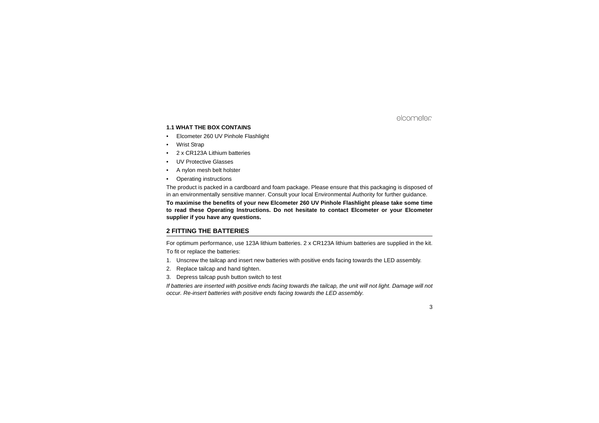#### **1.1 WHAT THE BOX CONTAINS**

- •Elcometer 260 UV Pinhole Flashlight
- •Wrist Strap
- •2 x CR123A Lithium batteries
- •UV Protective Glasses
- •A nylon mesh belt holster
- •Operating instructions

The product is packed in a cardboard and foam package. Please ensure that this packaging is disposed of in an environmentally sensitive manner. Consult your local Environmental Authority for further guidance.

**To maximise the benefits of your new Elcometer 260 UV Pinhole Flashlight please take some time to read these Operating Instructions. Do not hesitate to contact Elcometer or your Elcometer supplier if you have any questions.**

## **2 FITTING THE BATTERIES**

For optimum performance, use 123A lithium batteries. 2 x CR123A lithium batteries are supplied in the kit. To fit or replace the batteries:

- 1. Unscrew the tailcap and insert new batteries with positive ends facing towards the LED assembly.
- 2. Replace tailcap and hand tighten.
- 3. Depress tailcap push button switch to test

*If batteries are inserted with positive ends facing towards the tailcap, the unit will not light. Damage will not occur. Re-insert batteries with positive ends facing towards the LED assembly.*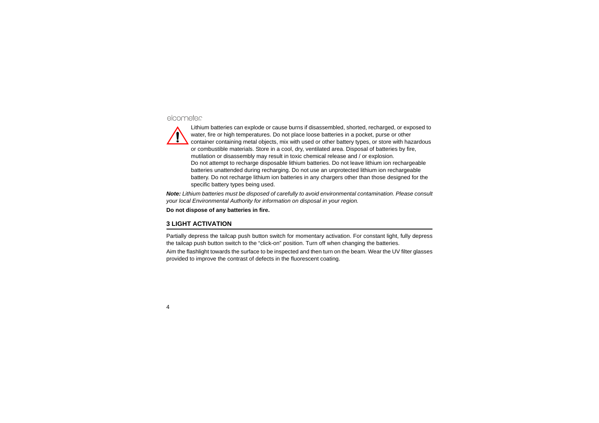

Lithium batteries can explode or cause burns if disassembled, shorted, recharged, or exposed to water, fire or high temperatures. Do not place loose batteries in a pocket, purse or other container containing metal objects, mix with used or other battery types, or store with hazardous or combustible materials. Store in a cool, dry, ventilated area. Disposal of batteries by fire, mutilation or disassembly may result in toxic chemical release and / or explosion. Do not attempt to recharge disposable lithium batteries. Do not leave lithium ion rechargeable batteries unattended during recharging. Do not use an unprotected lithium ion rechargeable battery. Do not recharge lithium ion batteries in any chargers other than those designed for the specific battery types being used.

*Note: Lithium batteries must be disposed of carefully to avoid environmental contamination. Please consult your local Environmental Authority for information on disposal in your region.*

**Do not dispose of any batteries in fire.**

## **3 LIGHT ACTIVATION**

Partially depress the tailcap push button switch for momentary activation. For constant light, fully depress the tailcap push button switch to the "click-on" position. Turn off when changing the batteries.

Aim the flashlight towards the surface to be inspected and then turn on the beam. Wear the UV filter glasses provided to improve the contrast of defects in the fluorescent coating.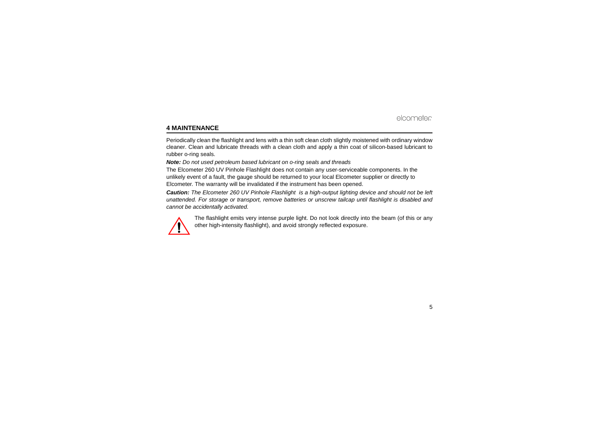## **4 MAINTENANCE**

Periodically clean the flashlight and lens with a thin soft clean cloth slightly moistened with ordinary window cleaner. Clean and lubricate threads with a clean cloth and apply a thin coat of silicon-based lubricant to rubber o-ring seals.

#### *Note: Do not used petroleum based lubricant on o-ring seals and threads*

The Elcometer 260 UV Pinhole Flashlight does not contain any user-serviceable components. In the unlikely event of a fault, the gauge should be returned to your local Elcometer supplier or directly to Elcometer. The warranty will be invalidated if the instrument has been opened.

*Caution: The Elcometer 260 UV Pinhole Flashlight is a high-output lighting device and should not be left unattended. For storage or transport, remove batteries or unscrew tailcap until flashlight is disabled and cannot be accidentally activated.*



The flashlight emits very intense purple light. Do not look directly into the beam (of this or any other high-intensity flashlight), and avoid strongly reflected exposure.